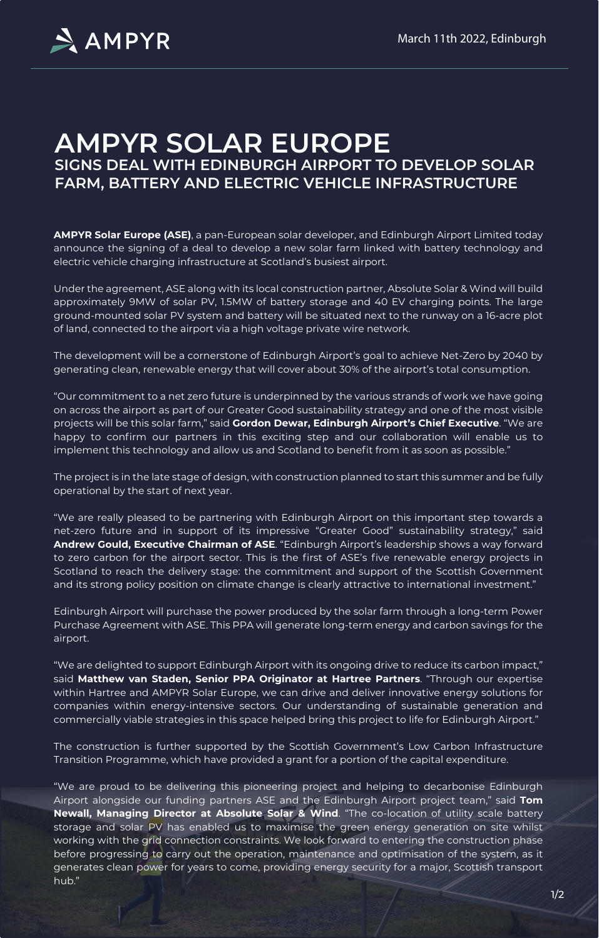**AMPYR Solar Europe (ASE)**, a pan-European solar developer, and Edinburgh Airport Limited today announce the signing of a deal to develop a new solar farm linked with battery technology and electric vehicle charging infrastructure at Scotland's busiest airport.

Under the agreement, ASE along with its local construction partner, Absolute Solar & Wind will build approximately 9MW of solar PV, 1.5MW of battery storage and 40 EV charging points. The large ground-mounted solar PV system and battery will be situated next to the runway on a 16-acre plot of land, connected to the airport via a high voltage private wire network.

The development will be a cornerstone of Edinburgh Airport's goal to achieve Net-Zero by 2040 by generating clean, renewable energy that will cover about 30% of the airport's total consumption.

"Our commitment to a net zero future is underpinned by the various strands of work we have going on across the airport as part of our Greater Good sustainability strategy and one of the most visible projects will be this solar farm," said **Gordon Dewar, Edinburgh Airport's Chief Executive**. "We are happy to confirm our partners in this exciting step and our collaboration will enable us to implement this technology and allow us and Scotland to benefit from it as soon as possible."

The project is in the late stage of design, with construction planned to start this summer and be fully operational by the start of next year.

"We are really pleased to be partnering with Edinburgh Airport on this important step towards a net-zero future and in support of its impressive "Greater Good" sustainability strategy," said

**Andrew Gould, Executive Chairman of ASE**. "Edinburgh Airport's leadership shows a way forward to zero carbon for the airport sector. This is the first of ASE's five renewable energy projects in Scotland to reach the delivery stage: the commitment and support of the Scottish Government and its strong policy position on climate change is clearly attractive to international investment."

Edinburgh Airport will purchase the power produced by the solar farm through a long-term Power Purchase Agreement with ASE. This PPA will generate long-term energy and carbon savings for the airport.

"We are delighted to support Edinburgh Airport with its ongoing drive to reduce its carbon impact," said **Matthew van Staden, Senior PPA Originator at Hartree Partners**. "Through our expertise within Hartree and AMPYR Solar Europe, we can drive and deliver innovative energy solutions for companies within energy-intensive sectors. Our understanding of sustainable generation and commercially viable strategies in this space helped bring this project to life for Edinburgh Airport."

The construction is further supported by the Scottish Government's Low Carbon Infrastructure Transition Programme, which have provided a grant for a portion of the capital expenditure.

"We are proud to be delivering this pioneering project and helping to decarbonise Edinburgh Airport alongside our funding partners ASE and the Edinburgh Airport project team," said **Tom** 

**Newall, Managing Director at Absolute Solar & Wind**. "The co-location of utility scale battery storage and solar PV has enabled us to maximise the green energy generation on site whilst working with the grid connection constraints. We look forward to entering the construction phase before progressing to carry out the operation, maintenance and optimisation of the system, as it generates clean power for years to come, providing energy security for a major, Scottish transport hub."

# **AMPYR SOLAR EUROPE SIGNS DEAL WITH EDINBURGH AIRPORT TO DEVELOP SOLAR FARM, BATTERY AND ELECTRIC VEHICLE INFRASTRUCTURE**



March 11th 2022, Edinburgh

 $1/2$